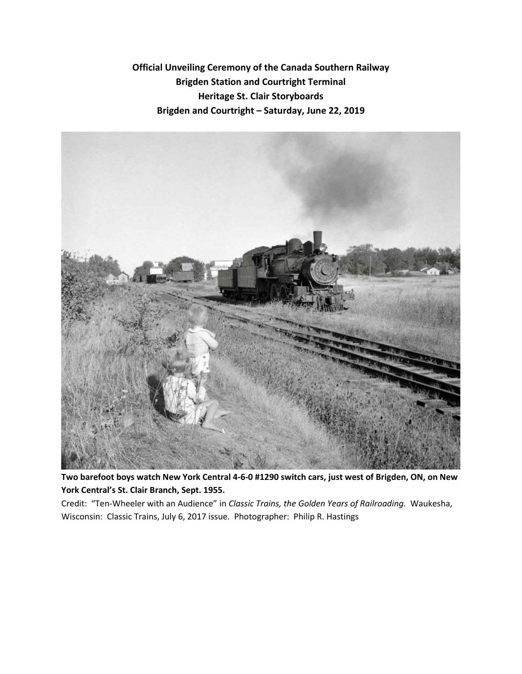**Official Unveiling Ceremony of the Canada Southern Railway Brigden Station and Courtright Terminal Heritage St. Clair Storyboards Brigden and Courtright – Saturday, June 22, 2019**



**Two barefoot boys watch New York Central 4-6-0 #1290 switch cars, just west of Brigden, ON, on New York Central's St. Clair Branch, Sept. 1955.**

Credit: "Ten-Wheeler with an Audience" in *Classic Trains, the Golden Years of Railroading.* Waukesha, Wisconsin: Classic Trains, July 6, 2017 issue. Photographer: Philip R. Hastings